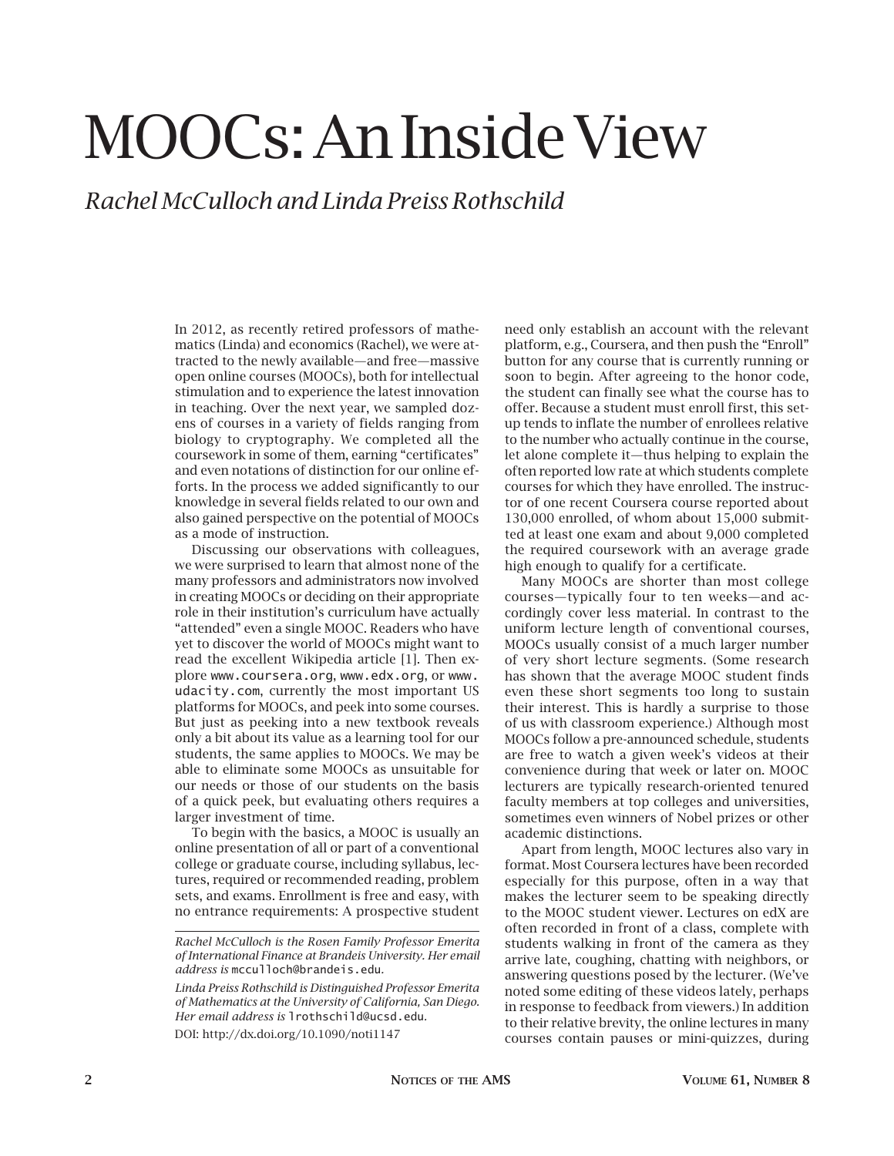# MOOCs: An Inside View

# *Rachel McCulloch and Linda Preiss Rothschild*

In 2012, as recently retired professors of mathematics (Linda) and economics (Rachel), we were attracted to the newly available—and free—massive open online courses (MOOCs), both for intellectual stimulation and to experience the latest innovation in teaching. Over the next year, we sampled dozens of courses in a variety of fields ranging from biology to cryptography. We completed all the coursework in some of them, earning "certificates" and even notations of distinction for our online efforts. In the process we added significantly to our knowledge in several fields related to our own and also gained perspective on the potential of MOOCs as a mode of instruction.

Discussing our observations with colleagues, we were surprised to learn that almost none of the many professors and administrators now involved in creating MOOCs or deciding on their appropriate role in their institution's curriculum have actually "attended" even a single MOOC. Readers who have yet to discover the world of MOOCs might want to read the excellent Wikipedia article [1]. Then explore www.coursera.org, www.edx.org, or www. udacity.com, currently the most important US platforms for MOOCs, and peek into some courses. But just as peeking into a new textbook reveals only a bit about its value as a learning tool for our students, the same applies to MOOCs. We may be able to eliminate some MOOCs as unsuitable for our needs or those of our students on the basis of a quick peek, but evaluating others requires a larger investment of time.

To begin with the basics, a MOOC is usually an online presentation of all or part of a conventional college or graduate course, including syllabus, lectures, required or recommended reading, problem sets, and exams. Enrollment is free and easy, with no entrance requirements: A prospective student

DOI: http://dx.doi.org/10.1090/noti1147

need only establish an account with the relevant platform, e.g., Coursera, and then push the "Enroll" button for any course that is currently running or soon to begin. After agreeing to the honor code, the student can finally see what the course has to offer. Because a student must enroll first, this setup tends to inflate the number of enrollees relative to the number who actually continue in the course, let alone complete it—thus helping to explain the often reported low rate at which students complete courses for which they have enrolled. The instructor of one recent Coursera course reported about 130,000 enrolled, of whom about 15,000 submitted at least one exam and about 9,000 completed the required coursework with an average grade high enough to qualify for a certificate.

Many MOOCs are shorter than most college courses—typically four to ten weeks—and accordingly cover less material. In contrast to the uniform lecture length of conventional courses, MOOCs usually consist of a much larger number of very short lecture segments. (Some research has shown that the average MOOC student finds even these short segments too long to sustain their interest. This is hardly a surprise to those of us with classroom experience.) Although most MOOCs follow a pre-announced schedule, students are free to watch a given week's videos at their convenience during that week or later on. MOOC lecturers are typically research-oriented tenured faculty members at top colleges and universities, sometimes even winners of Nobel prizes or other academic distinctions.

Apart from length, MOOC lectures also vary in format. Most Coursera lectures have been recorded especially for this purpose, often in a way that makes the lecturer seem to be speaking directly to the MOOC student viewer. Lectures on edX are often recorded in front of a class, complete with students walking in front of the camera as they arrive late, coughing, chatting with neighbors, or answering questions posed by the lecturer. (We've noted some editing of these videos lately, perhaps in response to feedback from viewers.) In addition to their relative brevity, the online lectures in many courses contain pauses or mini-quizzes, during

*Rachel McCulloch is the Rosen Family Professor Emerita of International Finance at Brandeis University. Her email address is* mcculloch@brandeis.edu*.*

*Linda Preiss Rothschild is Distinguished Professor Emerita of Mathematics at the University of California, San Diego. Her email address is* lrothschild@ucsd.edu*.*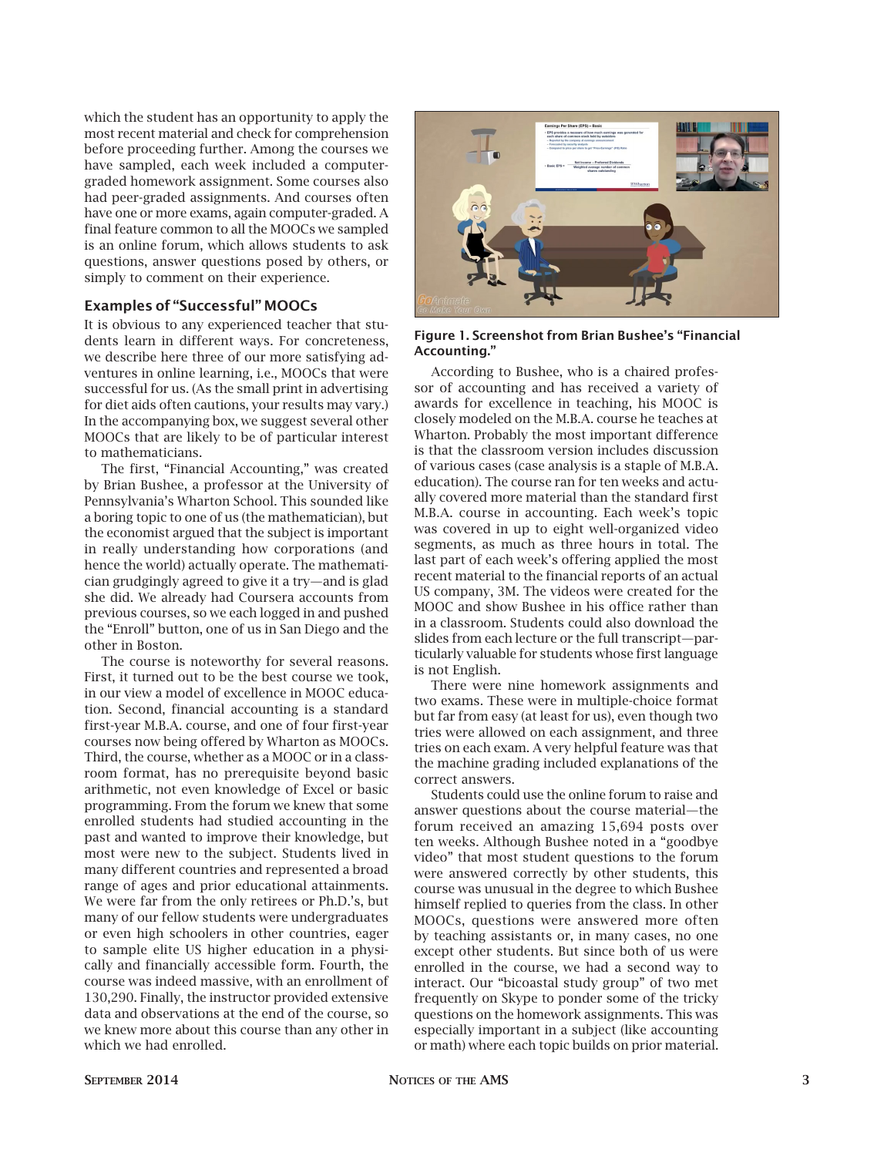which the student has an opportunity to apply the most recent material and check for comprehension before proceeding further. Among the courses we have sampled, each week included a computergraded homework assignment. Some courses also had peer-graded assignments. And courses often have one or more exams, again computer-graded. A final feature common to all the MOOCs we sampled is an online forum, which allows students to ask questions, answer questions posed by others, or simply to comment on their experience.

# Examples of "Successful" MOOCs

It is obvious to any experienced teacher that students learn in different ways. For concreteness, we describe here three of our more satisfying adventures in online learning, i.e., MOOCs that were successful for us. (As the small print in advertising for diet aids often cautions, your results may vary.) In the accompanying box, we suggest several other MOOCs that are likely to be of particular interest to mathematicians.

The first, "Financial Accounting," was created by Brian Bushee, a professor at the University of Pennsylvania's Wharton School. This sounded like a boring topic to one of us (the mathematician), but the economist argued that the subject is important in really understanding how corporations (and hence the world) actually operate. The mathematician grudgingly agreed to give it a try—and is glad she did. We already had Coursera accounts from previous courses, so we each logged in and pushed the "Enroll" button, one of us in San Diego and the other in Boston.

The course is noteworthy for several reasons. First, it turned out to be the best course we took, in our view a model of excellence in MOOC education. Second, financial accounting is a standard first-year M.B.A. course, and one of four first-year courses now being offered by Wharton as MOOCs. Third, the course, whether as a MOOC or in a classroom format, has no prerequisite beyond basic arithmetic, not even knowledge of Excel or basic programming. From the forum we knew that some enrolled students had studied accounting in the past and wanted to improve their knowledge, but most were new to the subject. Students lived in many different countries and represented a broad range of ages and prior educational attainments. We were far from the only retirees or Ph.D.'s, but many of our fellow students were undergraduates or even high schoolers in other countries, eager to sample elite US higher education in a physically and financially accessible form. Fourth, the course was indeed massive, with an enrollment of 130,290. Finally, the instructor provided extensive data and observations at the end of the course, so we knew more about this course than any other in which we had enrolled.



Figure 1. Screenshot from Brian Bushee's "Financial Accounting."

According to Bushee, who is a chaired professor of accounting and has received a variety of awards for excellence in teaching, his MOOC is closely modeled on the M.B.A. course he teaches at Wharton. Probably the most important difference is that the classroom version includes discussion of various cases (case analysis is a staple of M.B.A. education). The course ran for ten weeks and actually covered more material than the standard first M.B.A. course in accounting. Each week's topic was covered in up to eight well-organized video segments, as much as three hours in total. The last part of each week's offering applied the most recent material to the financial reports of an actual US company, 3M. The videos were created for the MOOC and show Bushee in his office rather than in a classroom. Students could also download the slides from each lecture or the full transcript—particularly valuable for students whose first language is not English.

There were nine homework assignments and two exams. These were in multiple-choice format but far from easy (at least for us), even though two tries were allowed on each assignment, and three tries on each exam. A very helpful feature was that the machine grading included explanations of the correct answers.

Students could use the online forum to raise and answer questions about the course material—the forum received an amazing 15,694 posts over ten weeks. Although Bushee noted in a "goodbye video" that most student questions to the forum were answered correctly by other students, this course was unusual in the degree to which Bushee himself replied to queries from the class. In other MOOCs, questions were answered more often by teaching assistants or, in many cases, no one except other students. But since both of us were enrolled in the course, we had a second way to interact. Our "bicoastal study group" of two met frequently on Skype to ponder some of the tricky questions on the homework assignments. This was especially important in a subject (like accounting or math) where each topic builds on prior material.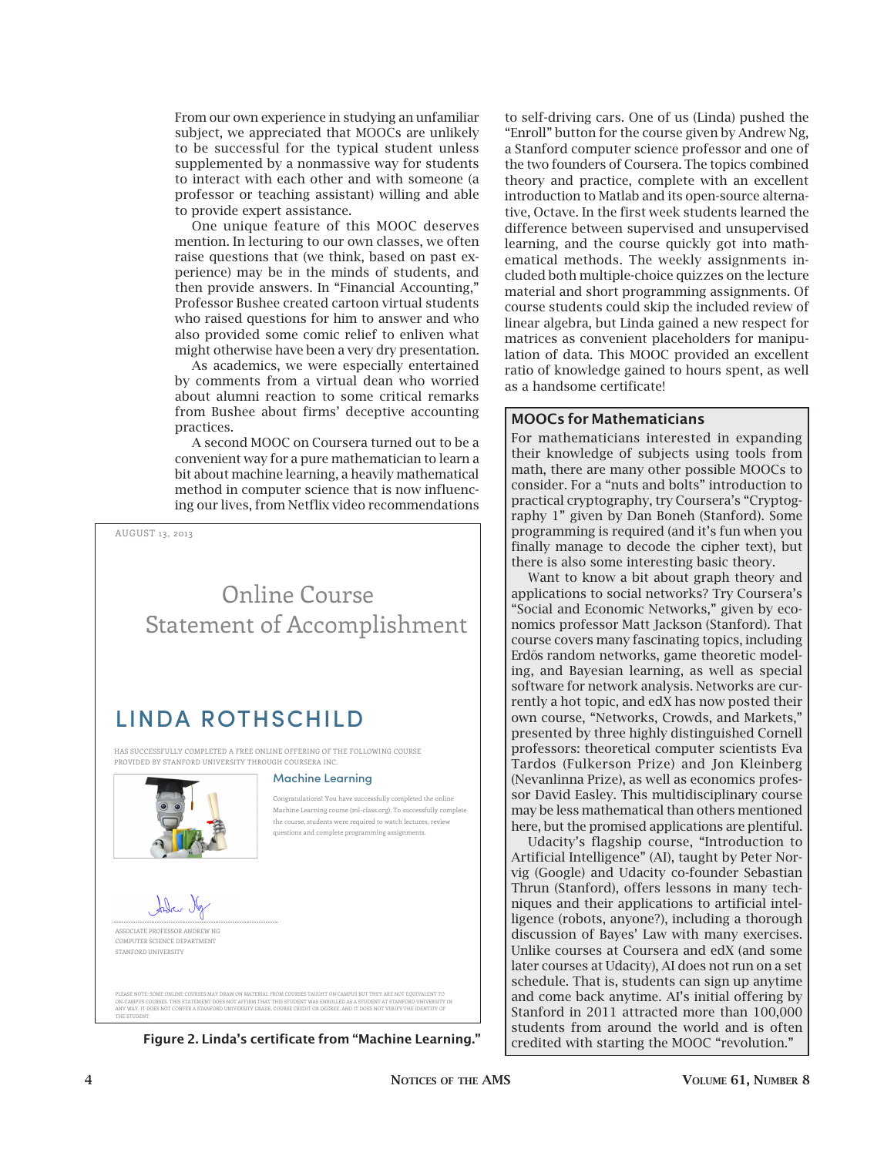From our own experience in studying an unfamiliar subject, we appreciated that MOOCs are unlikely to be successful for the typical student unless supplemented by a nonmassive way for students to interact with each other and with someone (a professor or teaching assistant) willing and able to provide expert assistance.

One unique feature of this MOOC deserves mention. In lecturing to our own classes, we often raise questions that (we think, based on past experience) may be in the minds of students, and then provide answers. In "Financial Accounting," Professor Bushee created cartoon virtual students who raised questions for him to answer and who also provided some comic relief to enliven what might otherwise have been a very dry presentation.

As academics, we were especially entertained by comments from a virtual dean who worried about alumni reaction to some critical remarks from Bushee about firms' deceptive accounting practices.

A second MOOC on Coursera turned out to be a convenient way for a pure mathematician to learn a bit about machine learning, a heavily mathematical method in computer science that is now influencing our lives, from Netflix video recommendations

AUGUST 13, 2013 Online Course Statement of Accomplishment LINDA ROTHSCHILD HAS SUCCESSFULLY COMPLETED A FREE ONLINE OFFERING OF THE FOLLOWING COURSE PROVIDED BY STANFORD UNIVERSITY THROUGH COURSERA INC. **Machine Learning** the course, students were required to watch lectures, review questions and complete programming assignments. John N

Congratulations! You have successfully completed the online Machine Learning course (ml-class.org). To successfully complete



COMPUTER SCIENCE DEPARTMENT STANFORD UNIVERSITY

PLEAE NOTE: SOME ONLINE COURSES MAY DRAW ON MATERIAL FROM COURSES TAUGHT ON CAMPUS BUT THEY ARE NOT EQUIVALENT TO<br>ON-CAMPUS COURSES. THIS STATEMENT DOES NOT AFFIRM THAT THIS STUDENT WAS ENROLLED AS A STUDENT AT STANFORD UN

Figure 2. Linda's certificate from "Machine Learning."

to self-driving cars. One of us (Linda) pushed the "Enroll" button for the course given by Andrew Ng, a Stanford computer science professor and one of the two founders of Coursera. The topics combined theory and practice, complete with an excellent introduction to Matlab and its open-source alternative, Octave. In the first week students learned the difference between supervised and unsupervised learning, and the course quickly got into mathematical methods. The weekly assignments included both multiple-choice quizzes on the lecture material and short programming assignments. Of course students could skip the included review of linear algebra, but Linda gained a new respect for matrices as convenient placeholders for manipulation of data. This MOOC provided an excellent ratio of knowledge gained to hours spent, as well as a handsome certificate!

# MOOCs for Mathematicians

For mathematicians interested in expanding their knowledge of subjects using tools from math, there are many other possible MOOCs to consider. For a "nuts and bolts" introduction to practical cryptography, try Coursera's "Cryptography 1" given by Dan Boneh (Stanford). Some programming is required (and it's fun when you finally manage to decode the cipher text), but there is also some interesting basic theory.

Want to know a bit about graph theory and applications to social networks? Try Coursera's "Social and Economic Networks," given by economics professor Matt Jackson (Stanford). That course covers many fascinating topics, including Erdős random networks, game theoretic modeling, and Bayesian learning, as well as special software for network analysis. Networks are currently a hot topic, and edX has now posted their own course, "Networks, Crowds, and Markets," presented by three highly distinguished Cornell professors: theoretical computer scientists Eva Tardos (Fulkerson Prize) and Jon Kleinberg (Nevanlinna Prize), as well as economics professor David Easley. This multidisciplinary course may be less mathematical than others mentioned here, but the promised applications are plentiful.

Udacity's flagship course, "Introduction to Artificial Intelligence" (AI), taught by Peter Norvig (Google) and Udacity co-founder Sebastian Thrun (Stanford), offers lessons in many techniques and their applications to artificial intelligence (robots, anyone?), including a thorough discussion of Bayes' Law with many exercises. Unlike courses at Coursera and edX (and some later courses at Udacity), AI does not run on a set schedule. That is, students can sign up anytime and come back anytime. AI's initial offering by Stanford in 2011 attracted more than 100,000 students from around the world and is often credited with starting the MOOC "revolution."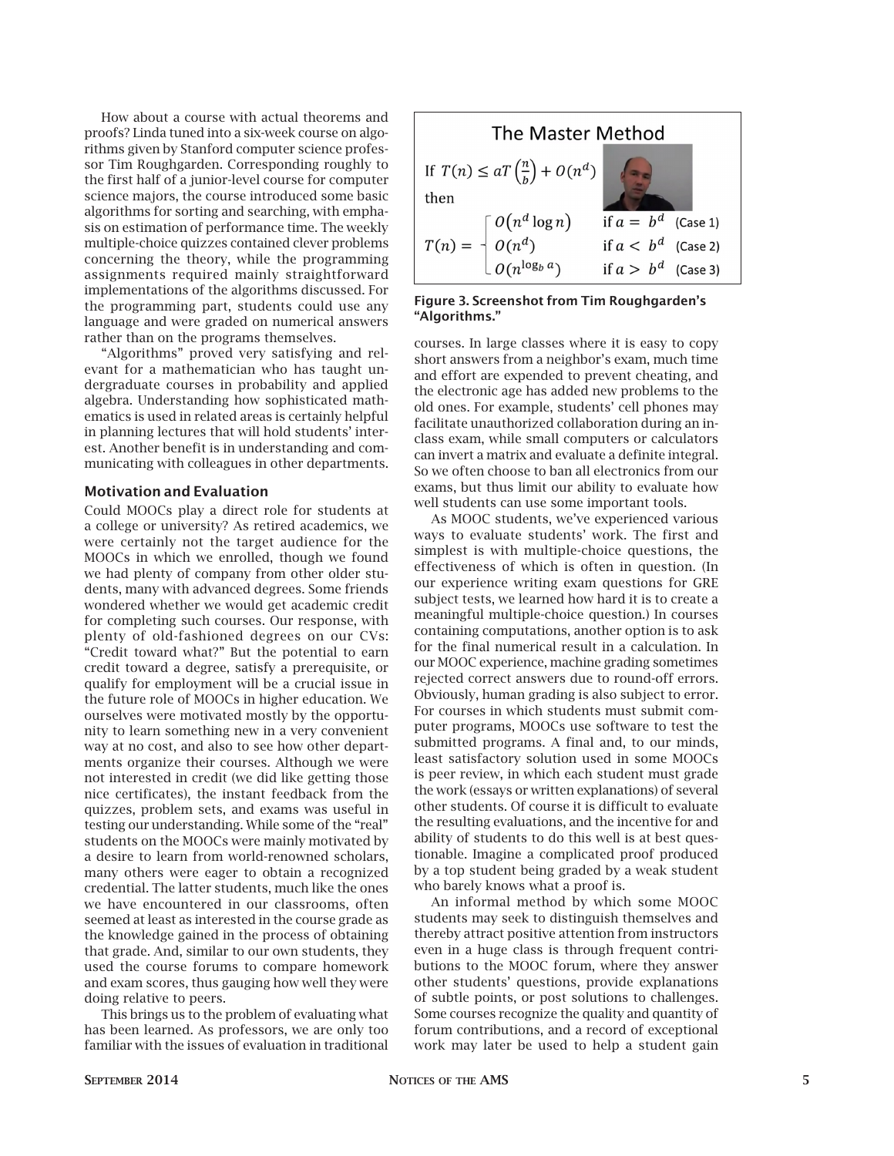How about a course with actual theorems and proofs? Linda tuned into a six-week course on algorithms given by Stanford computer science professor Tim Roughgarden. Corresponding roughly to the first half of a junior-level course for computer science majors, the course introduced some basic algorithms for sorting and searching, with emphasis on estimation of performance time. The weekly multiple-choice quizzes contained clever problems concerning the theory, while the programming assignments required mainly straightforward implementations of the algorithms discussed. For the programming part, students could use any language and were graded on numerical answers rather than on the programs themselves.

"Algorithms" proved very satisfying and relevant for a mathematician who has taught undergraduate courses in probability and applied algebra. Understanding how sophisticated mathematics is used in related areas is certainly helpful in planning lectures that will hold students' interest. Another benefit is in understanding and communicating with colleagues in other departments.

#### Motivation and Evaluation

Could MOOCs play a direct role for students at a college or university? As retired academics, we were certainly not the target audience for the MOOCs in which we enrolled, though we found we had plenty of company from other older students, many with advanced degrees. Some friends wondered whether we would get academic credit for completing such courses. Our response, with plenty of old-fashioned degrees on our CVs: "Credit toward what?" But the potential to earn credit toward a degree, satisfy a prerequisite, or qualify for employment will be a crucial issue in the future role of MOOCs in higher education. We ourselves were motivated mostly by the opportunity to learn something new in a very convenient way at no cost, and also to see how other departments organize their courses. Although we were not interested in credit (we did like getting those nice certificates), the instant feedback from the quizzes, problem sets, and exams was useful in testing our understanding. While some of the "real" students on the MOOCs were mainly motivated by a desire to learn from world-renowned scholars, many others were eager to obtain a recognized credential. The latter students, much like the ones we have encountered in our classrooms, often seemed at least as interested in the course grade as the knowledge gained in the process of obtaining that grade. And, similar to our own students, they used the course forums to compare homework and exam scores, thus gauging how well they were doing relative to peers.

This brings us to the problem of evaluating what has been learned. As professors, we are only too familiar with the issues of evaluation in traditional



Figure 3. Screenshot from Tim Roughgarden's "Algorithms."

courses. In large classes where it is easy to copy short answers from a neighbor's exam, much time and effort are expended to prevent cheating, and the electronic age has added new problems to the old ones. For example, students' cell phones may facilitate unauthorized collaboration during an inclass exam, while small computers or calculators can invert a matrix and evaluate a definite integral. So we often choose to ban all electronics from our exams, but thus limit our ability to evaluate how well students can use some important tools.

As MOOC students, we've experienced various ways to evaluate students' work. The first and simplest is with multiple-choice questions, the effectiveness of which is often in question. (In our experience writing exam questions for GRE subject tests, we learned how hard it is to create a meaningful multiple-choice question.) In courses containing computations, another option is to ask for the final numerical result in a calculation. In our MOOC experience, machine grading sometimes rejected correct answers due to round-off errors. Obviously, human grading is also subject to error. For courses in which students must submit computer programs, MOOCs use software to test the submitted programs. A final and, to our minds, least satisfactory solution used in some MOOCs is peer review, in which each student must grade the work (essays or written explanations) of several other students. Of course it is difficult to evaluate the resulting evaluations, and the incentive for and ability of students to do this well is at best questionable. Imagine a complicated proof produced by a top student being graded by a weak student who barely knows what a proof is.

An informal method by which some MOOC students may seek to distinguish themselves and thereby attract positive attention from instructors even in a huge class is through frequent contributions to the MOOC forum, where they answer other students' questions, provide explanations of subtle points, or post solutions to challenges. Some courses recognize the quality and quantity of forum contributions, and a record of exceptional work may later be used to help a student gain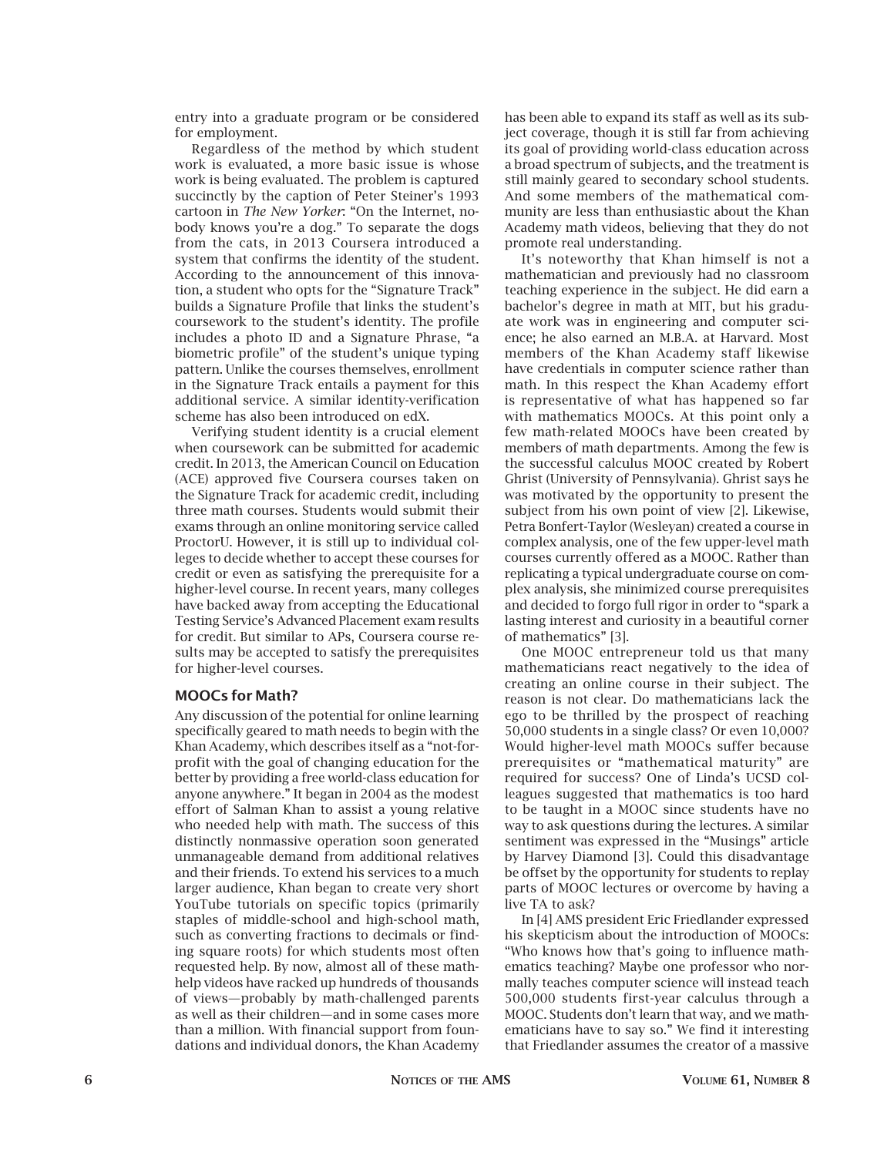entry into a graduate program or be considered for employment.

Regardless of the method by which student work is evaluated, a more basic issue is whose work is being evaluated. The problem is captured succinctly by the caption of Peter Steiner's 1993 cartoon in *The New Yorker*: "On the Internet, nobody knows you're a dog." To separate the dogs from the cats, in 2013 Coursera introduced a system that confirms the identity of the student. According to the announcement of this innovation, a student who opts for the "Signature Track" builds a Signature Profile that links the student's coursework to the student's identity. The profile includes a photo ID and a Signature Phrase, "a biometric profile" of the student's unique typing pattern. Unlike the courses themselves, enrollment in the Signature Track entails a payment for this additional service. A similar identity-verification scheme has also been introduced on edX.

Verifying student identity is a crucial element when coursework can be submitted for academic credit. In 2013, the American Council on Education (ACE) approved five Coursera courses taken on the Signature Track for academic credit, including three math courses. Students would submit their exams through an online monitoring service called ProctorU. However, it is still up to individual colleges to decide whether to accept these courses for credit or even as satisfying the prerequisite for a higher-level course. In recent years, many colleges have backed away from accepting the Educational Testing Service's Advanced Placement exam results for credit. But similar to APs, Coursera course results may be accepted to satisfy the prerequisites for higher-level courses.

## MOOCs for Math?

Any discussion of the potential for online learning specifically geared to math needs to begin with the Khan Academy, which describes itself as a "not-forprofit with the goal of changing education for the better by providing a free world-class education for anyone anywhere." It began in 2004 as the modest effort of Salman Khan to assist a young relative who needed help with math. The success of this distinctly nonmassive operation soon generated unmanageable demand from additional relatives and their friends. To extend his services to a much larger audience, Khan began to create very short YouTube tutorials on specific topics (primarily staples of middle-school and high-school math, such as converting fractions to decimals or finding square roots) for which students most often requested help. By now, almost all of these mathhelp videos have racked up hundreds of thousands of views—probably by math-challenged parents as well as their children—and in some cases more than a million. With financial support from foundations and individual donors, the Khan Academy

has been able to expand its staff as well as its subject coverage, though it is still far from achieving its goal of providing world-class education across a broad spectrum of subjects, and the treatment is still mainly geared to secondary school students. And some members of the mathematical community are less than enthusiastic about the Khan Academy math videos, believing that they do not promote real understanding.

It's noteworthy that Khan himself is not a mathematician and previously had no classroom teaching experience in the subject. He did earn a bachelor's degree in math at MIT, but his graduate work was in engineering and computer science; he also earned an M.B.A. at Harvard. Most members of the Khan Academy staff likewise have credentials in computer science rather than math. In this respect the Khan Academy effort is representative of what has happened so far with mathematics MOOCs. At this point only a few math-related MOOCs have been created by members of math departments. Among the few is the successful calculus MOOC created by Robert Ghrist (University of Pennsylvania). Ghrist says he was motivated by the opportunity to present the subject from his own point of view [2]. Likewise, Petra Bonfert-Taylor (Wesleyan) created a course in complex analysis, one of the few upper-level math courses currently offered as a MOOC. Rather than replicating a typical undergraduate course on complex analysis, she minimized course prerequisites and decided to forgo full rigor in order to "spark a lasting interest and curiosity in a beautiful corner of mathematics" [3].

One MOOC entrepreneur told us that many mathematicians react negatively to the idea of creating an online course in their subject. The reason is not clear. Do mathematicians lack the ego to be thrilled by the prospect of reaching 50,000 students in a single class? Or even 10,000? Would higher-level math MOOCs suffer because prerequisites or "mathematical maturity" are required for success? One of Linda's UCSD colleagues suggested that mathematics is too hard to be taught in a MOOC since students have no way to ask questions during the lectures. A similar sentiment was expressed in the "Musings" article by Harvey Diamond [3]. Could this disadvantage be offset by the opportunity for students to replay parts of MOOC lectures or overcome by having a live TA to ask?

In [4] AMS president Eric Friedlander expressed his skepticism about the introduction of MOOCs: "Who knows how that's going to influence mathematics teaching? Maybe one professor who normally teaches computer science will instead teach 500,000 students first-year calculus through a MOOC. Students don't learn that way, and we mathematicians have to say so." We find it interesting that Friedlander assumes the creator of a massive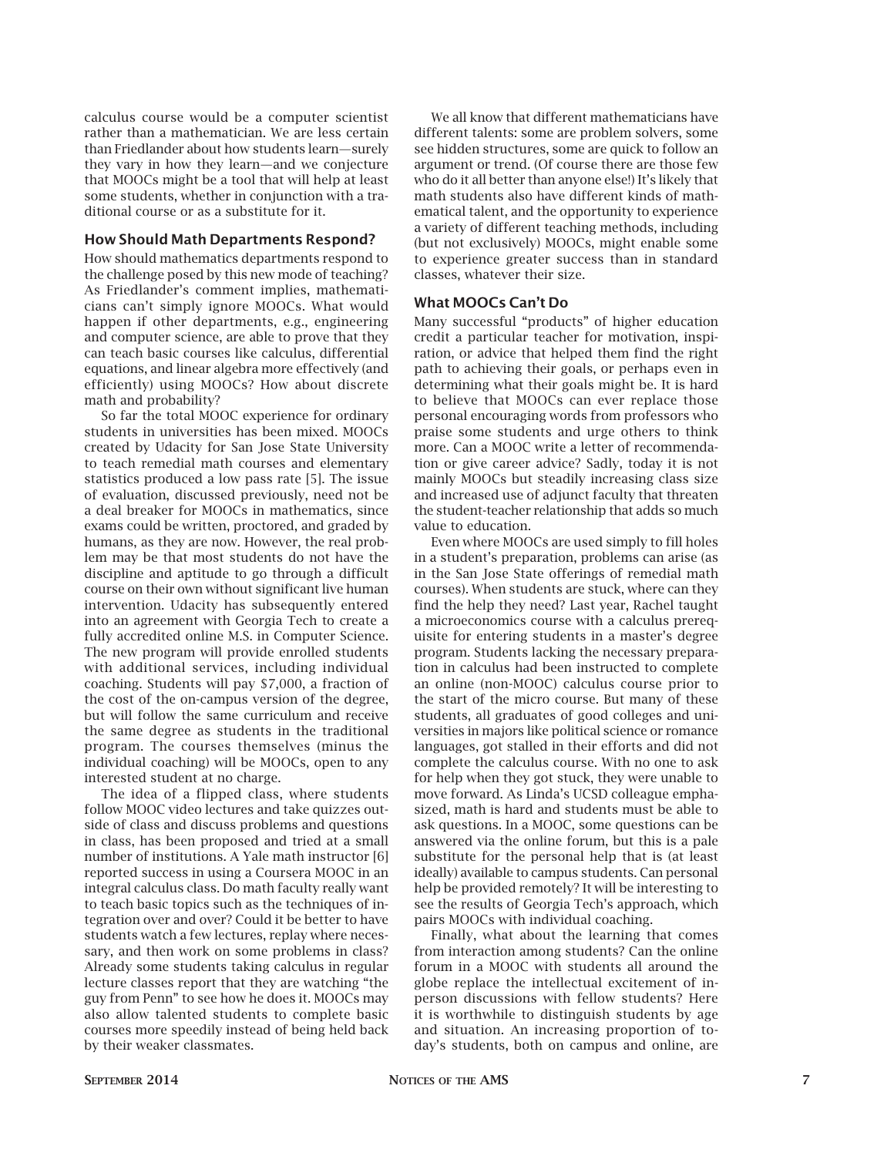calculus course would be a computer scientist rather than a mathematician. We are less certain than Friedlander about how students learn—surely they vary in how they learn—and we conjecture that MOOCs might be a tool that will help at least some students, whether in conjunction with a traditional course or as a substitute for it.

# How Should Math Departments Respond?

How should mathematics departments respond to the challenge posed by this new mode of teaching? As Friedlander's comment implies, mathematicians can't simply ignore MOOCs. What would happen if other departments, e.g., engineering and computer science, are able to prove that they can teach basic courses like calculus, differential equations, and linear algebra more effectively (and efficiently) using MOOCs? How about discrete math and probability?

So far the total MOOC experience for ordinary students in universities has been mixed. MOOCs created by Udacity for San Jose State University to teach remedial math courses and elementary statistics produced a low pass rate [5]. The issue of evaluation, discussed previously, need not be a deal breaker for MOOCs in mathematics, since exams could be written, proctored, and graded by humans, as they are now. However, the real problem may be that most students do not have the discipline and aptitude to go through a difficult course on their own without significant live human intervention. Udacity has subsequently entered into an agreement with Georgia Tech to create a fully accredited online M.S. in Computer Science. The new program will provide enrolled students with additional services, including individual coaching. Students will pay \$7,000, a fraction of the cost of the on-campus version of the degree, but will follow the same curriculum and receive the same degree as students in the traditional program. The courses themselves (minus the individual coaching) will be MOOCs, open to any interested student at no charge.

The idea of a flipped class, where students follow MOOC video lectures and take quizzes outside of class and discuss problems and questions in class, has been proposed and tried at a small number of institutions. A Yale math instructor [6] reported success in using a Coursera MOOC in an integral calculus class. Do math faculty really want to teach basic topics such as the techniques of integration over and over? Could it be better to have students watch a few lectures, replay where necessary, and then work on some problems in class? Already some students taking calculus in regular lecture classes report that they are watching "the guy from Penn" to see how he does it. MOOCs may also allow talented students to complete basic courses more speedily instead of being held back by their weaker classmates.

We all know that different mathematicians have different talents: some are problem solvers, some see hidden structures, some are quick to follow an argument or trend. (Of course there are those few who do it all better than anyone else!) It's likely that math students also have different kinds of mathematical talent, and the opportunity to experience a variety of different teaching methods, including (but not exclusively) MOOCs, might enable some to experience greater success than in standard classes, whatever their size.

### What MOOCs Can't Do

Many successful "products" of higher education credit a particular teacher for motivation, inspiration, or advice that helped them find the right path to achieving their goals, or perhaps even in determining what their goals might be. It is hard to believe that MOOCs can ever replace those personal encouraging words from professors who praise some students and urge others to think more. Can a MOOC write a letter of recommendation or give career advice? Sadly, today it is not mainly MOOCs but steadily increasing class size and increased use of adjunct faculty that threaten the student-teacher relationship that adds so much value to education.

Even where MOOCs are used simply to fill holes in a student's preparation, problems can arise (as in the San Jose State offerings of remedial math courses). When students are stuck, where can they find the help they need? Last year, Rachel taught a microeconomics course with a calculus prerequisite for entering students in a master's degree program. Students lacking the necessary preparation in calculus had been instructed to complete an online (non-MOOC) calculus course prior to the start of the micro course. But many of these students, all graduates of good colleges and universities in majors like political science or romance languages, got stalled in their efforts and did not complete the calculus course. With no one to ask for help when they got stuck, they were unable to move forward. As Linda's UCSD colleague emphasized, math is hard and students must be able to ask questions. In a MOOC, some questions can be answered via the online forum, but this is a pale substitute for the personal help that is (at least ideally) available to campus students. Can personal help be provided remotely? It will be interesting to see the results of Georgia Tech's approach, which pairs MOOCs with individual coaching.

Finally, what about the learning that comes from interaction among students? Can the online forum in a MOOC with students all around the globe replace the intellectual excitement of inperson discussions with fellow students? Here it is worthwhile to distinguish students by age and situation. An increasing proportion of today's students, both on campus and online, are